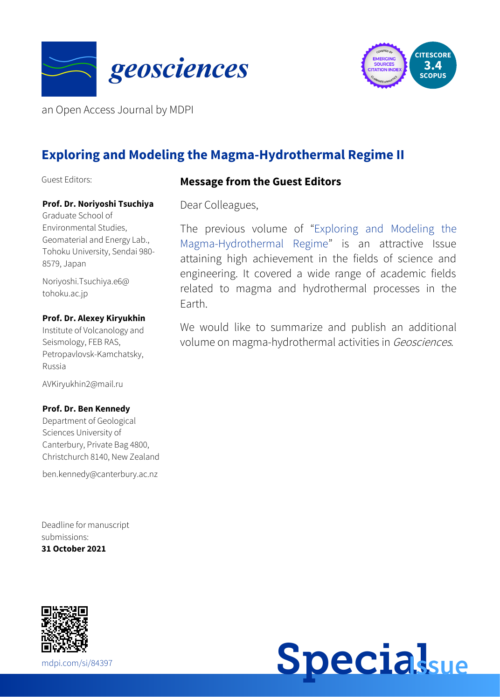



an Open Access Journal by MDPI

# **Exploring and Modeling the Magma-Hydrothermal Regime II**

Guest Editors:

#### **Message from the Guest Editors**

**Prof. Dr. Noriyoshi Tsuchiya**

Graduate School of Environmental Studies, Geomaterial and Energy Lab., Tohoku University, Sendai 980- 8579, Japan

[Noriyoshi.Tsuchiya.e6@](mailto:Noriyoshi.Tsuchiya.e6@tohoku.ac.jp) tohoku.ac.jp

#### **Prof. Dr. Alexey Kiryukhin**

Institute of Volcanology and Seismology, FEB RAS, Petropavlovsk-Kamchatsky, Russia

[AVKiryukhin2@mail.ru](mailto:AVKiryukhin2@mail.ru)

#### **Prof. Dr. Ben Kennedy**

Department of Geological Sciences University of Canterbury, Private Bag 4800, Christchurch 8140, New Zealand

[ben.kennedy@canterbury.ac.nz](mailto:ben.kennedy@canterbury.ac.nz)

Deadline for manuscript submissions: **31 October 2021**



Dear Colleagues,

The previous volume of "Exploring and Modeling the [Magma-Hydrothermal](https://www.mdpi.com/journal/geosciences/special_issues/magma_regime) Regime" is an attractive Issue attaining high achievement in the fields of science and engineering. It covered a wide range of academic fields related to magma and hydrothermal processes in the Earth.

We would like to summarize and publish an additional volume on magma-hydrothermal activities in Geosciences.